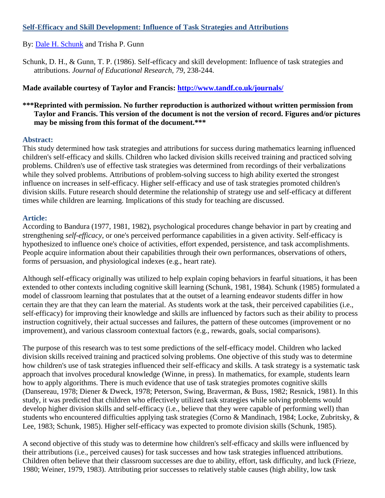# **Self-Efficacy and Skill Development: Influence of Task Strategies and Attributions**

By: [Dale H. Schunk](http://libres.uncg.edu/ir/uncg/clist.aspx?id=1024) and Trisha P. Gunn

Schunk, D. H., & Gunn, T. P. (1986). Self-efficacy and skill development: Influence of task strategies and attributions. *Journal of Educational Research, 79*, 238-244.

# **Made available courtesy of Taylor and Francis:<http://www.tandf.co.uk/journals/>**

# **\*\*\*Reprinted with permission. No further reproduction is authorized without written permission from Taylor and Francis. This version of the document is not the version of record. Figures and/or pictures may be missing from this format of the document.\*\*\***

### **Abstract:**

This study determined how task strategies and attributions for success during mathematics learning influenced children's self-efficacy and skills. Children who lacked division skills received training and practiced solving problems. Children's use of effective task strategies was determined from recordings of their verbalizations while they solved problems. Attributions of problem-solving success to high ability exerted the strongest influence on increases in self-efficacy. Higher self-efficacy and use of task strategies promoted children's division skills. Future research should determine the relationship of strategy use and self-efficacy at different times while children are learning. Implications of this study for teaching are discussed.

### **Article:**

According to Bandura (1977, 1981, 1982), psychological procedures change behavior in part by creating and strengthening *self-efficacy,* or one's perceived performance capabilities in a given activity. Self-efficacy is hypothesized to influence one's choice of activities, effort expended, persistence, and task accomplishments. People acquire information about their capabilities through their own performances, observations of others, forms of persuasion, and physiological indexes (e.g., heart rate).

Although self-efficacy originally was utilized to help explain coping behaviors in fearful situations, it has been extended to other contexts including cognitive skill learning (Schunk, 1981, 1984). Schunk (1985) formulated a model of classroom learning that postulates that at the outset of a learning endeavor students differ in how certain they are that they can learn the material. As students work at the task, their perceived capabilities (i.e., self-efficacy) for improving their knowledge and skills are influenced by factors such as their ability to process instruction cognitively, their actual successes and failures, the pattern of these outcomes (improvement or no improvement), and various classroom contextual factors (e.g., rewards, goals, social comparisons).

The purpose of this research was to test some predictions of the self-efficacy model. Children who lacked division skills received training and practiced solving problems. One objective of this study was to determine how children's use of task strategies influenced their self-efficacy and skills. A task strategy is a systematic task approach that involves procedural knowledge (Winne, in press). In mathematics, for example, students learn how to apply algorithms. There is much evidence that use of task strategies promotes cognitive skills (Dansereau, 1978; Diener & Dweck, 1978; Peterson, Swing, Braverman, & Buss, 1982; Resnick, 1981). In this study, it was predicted that children who effectively utilized task strategies while solving problems would develop higher division skills and self-efficacy (i.e., believe that they were capable of performing well) than students who encountered difficulties applying task strategies (Corno & Mandinach, 1984; Locke, Zubritsky, & Lee, 1983; Schunk, 1985). Higher self-efficacy was expected to promote division skills (Schunk, 1985).

A second objective of this study was to determine how children's self-efficacy and skills were influenced by their attributions (i.e., perceived causes) for task successes and how task strategies influenced attributions. Children often believe that their classroom successes are due to ability, effort, task difficulty, and luck (Frieze, 1980; Weiner, 1979, 1983). Attributing prior successes to relatively stable causes (high ability, low task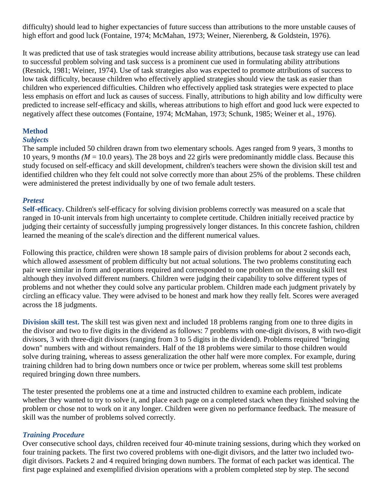difficulty) should lead to higher expectancies of future success than attributions to the more unstable causes of high effort and good luck (Fontaine, 1974; McMahan, 1973; Weiner, Nierenberg, & Goldstein, 1976).

It was predicted that use of task strategies would increase ability attributions, because task strategy use can lead to successful problem solving and task success is a prominent cue used in formulating ability attributions (Resnick, 1981; Weiner, 1974). Use of task strategies also was expected to promote attributions of success to low task difficulty, because children who effectively applied strategies should view the task as easier than children who experienced difficulties. Children who effectively applied task strategies were expected to place less emphasis on effort and luck as causes of success. Finally, attributions to high ability and low difficulty were predicted to increase self-efficacy and skills, whereas attributions to high effort and good luck were expected to negatively affect these outcomes (Fontaine, 1974; McMahan, 1973; Schunk, 1985; Weiner et al., 1976).

# **Method**

### *Subjects*

The sample included 50 children drawn from two elementary schools. Ages ranged from 9 years, 3 months to 10 years, 9 months *(M* = 10.0 years). The 28 boys and 22 girls were predominantly middle class. Because this study focused on self-efficacy and skill development, children's teachers were shown the division skill test and identified children who they felt could not solve correctly more than about 25% of the problems. These children were administered the pretest individually by one of two female adult testers.

# *Pretest*

**Self-efficacy.** Children's self-efficacy for solving division problems correctly was measured on a scale that ranged in 10-unit intervals from high uncertainty to complete certitude. Children initially received practice by judging their certainty of successfully jumping progressively longer distances. In this concrete fashion, children learned the meaning of the scale's direction and the different numerical values.

Following this practice, children were shown 18 sample pairs of division problems for about 2 seconds each, which allowed assessment of problem difficulty but not actual solutions. The two problems constituting each pair were similar in form and operations required and corresponded to one problem on the ensuing skill test although they involved different numbers. Children were judging their capability to solve different types of problems and not whether they could solve any particular problem. Children made each judgment privately by circling an efficacy value. They were advised to be honest and mark how they really felt. Scores were averaged across the 18 judgments.

**Division skill test.** The skill test was given next and included 18 problems ranging from one to three digits in the divisor and two to five digits in the dividend as follows: 7 problems with one-digit divisors, 8 with two-digit divisors, 3 with three-digit divisors (ranging from 3 to 5 digits in the dividend). Problems required "bringing down" numbers with and without remainders. Half of the 18 problems were similar to those children would solve during training, whereas to assess generalization the other half were more complex. For example, during training children had to bring down numbers once or twice per problem, whereas some skill test problems required bringing down three numbers.

The tester presented the problems one at a time and instructed children to examine each problem, indicate whether they wanted to try to solve it, and place each page on a completed stack when they finished solving the problem or chose not to work on it any longer. Children were given no performance feedback. The measure of skill was the number of problems solved correctly.

# *Training Procedure*

Over consecutive school days, children received four 40-minute training sessions, during which they worked on four training packets. The first two covered problems with one-digit divisors, and the latter two included twodigit divisors. Packets 2 and 4 required bringing down numbers. The format of each packet was identical. The first page explained and exemplified division operations with a problem completed step by step. The second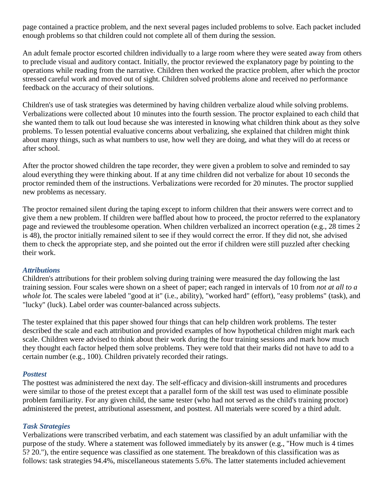page contained a practice problem, and the next several pages included problems to solve. Each packet included enough problems so that children could not complete all of them during the session.

An adult female proctor escorted children individually to a large room where they were seated away from others to preclude visual and auditory contact. Initially, the proctor reviewed the explanatory page by pointing to the operations while reading from the narrative. Children then worked the practice problem, after which the proctor stressed careful work and moved out of sight. Children solved problems alone and received no performance feedback on the accuracy of their solutions.

Children's use of task strategies was determined by having children verbalize aloud while solving problems. Verbalizations were collected about 10 minutes into the fourth session. The proctor explained to each child that she wanted them to talk out loud because she was interested in knowing what children think about as they solve problems. To lessen potential evaluative concerns about verbalizing, she explained that children might think about many things, such as what numbers to use, how well they are doing, and what they will do at recess or after school.

After the proctor showed children the tape recorder, they were given a problem to solve and reminded to say aloud everything they were thinking about. If at any time children did not verbalize for about 10 seconds the proctor reminded them of the instructions. Verbalizations were recorded for 20 minutes. The proctor supplied new problems as necessary.

The proctor remained silent during the taping except to inform children that their answers were correct and to give them a new problem. If children were baffled about how to proceed, the proctor referred to the explanatory page and reviewed the troublesome operation. When children verbalized an incorrect operation (e.g., 28 times 2 is 48), the proctor initially remained silent to see if they would correct the error. If they did not, she advised them to check the appropriate step, and she pointed out the error if children were still puzzled after checking their work.

### *Attributions*

Children's attributions for their problem solving during training were measured the day following the last training session. Four scales were shown on a sheet of paper; each ranged in intervals of 10 from *not at all to a whole lot.* The scales were labeled "good at it" (i.e., ability), "worked hard" (effort), "easy problems" (task), and "lucky" (luck). Label order was counter-balanced across subjects.

The tester explained that this paper showed four things that can help children work problems. The tester described the scale and each attribution and provided examples of how hypothetical children might mark each scale. Children were advised to think about their work during the four training sessions and mark how much they thought each factor helped them solve problems. They were told that their marks did not have to add to a certain number (e.g., 100). Children privately recorded their ratings.

### *Posttest*

The posttest was administered the next day. The self-efficacy and division-skill instruments and procedures were similar to those of the pretest except that a parallel form of the skill test was used to eliminate possible problem familiarity. For any given child, the same tester (who had not served as the child's training proctor) administered the pretest, attributional assessment, and posttest. All materials were scored by a third adult.

# *Task Strategies*

Verbalizations were transcribed verbatim, and each statement was classified by an adult unfamiliar with the purpose of the study. Where a statement was followed immediately by its answer (e.g., "How much is 4 times 5? 20."), the entire sequence was classified as one statement. The breakdown of this classification was as follows: task strategies 94.4%, miscellaneous statements 5.6%. The latter statements included achievement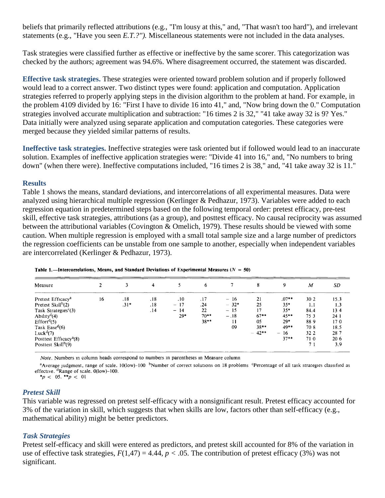beliefs that primarily reflected attributions (e.g., "I'm lousy at this," and, "That wasn't too hard"), and irrelevant statements (e.g., "Have you seen *E.T.?").* Miscellaneous statements were not included in the data analyses.

Task strategies were classified further as effective or ineffective by the same scorer. This categorization was checked by the authors; agreement was 94.6%. Where disagreement occurred, the statement was discarded.

**Effective task strategies.** These strategies were oriented toward problem solution and if properly followed would lead to a correct answer. Two distinct types were found: application and computation. Application strategies referred to properly applying steps in the division algorithm to the problem at hand. For example, in the problem 4109 divided by 16: "First I have to divide 16 into 41," and, "Now bring down the 0." Computation strategies involved accurate multiplication and subtraction: "16 times 2 is 32," "41 take away 32 is 9? Yes." Data initially were analyzed using separate application and computation categories. These categories were merged because they yielded similar patterns of results.

**Ineffective task strategies.** Ineffective strategies were task oriented but if followed would lead to an inaccurate solution. Examples of ineffective application strategies were: "Divide 41 into 16," and, "No numbers to bring down" (when there were). Ineffective computations included, "16 times 2 is 38," and, "41 take away 32 is 11."

### **Results**

Table 1 shows the means, standard deviations, and intercorrelations of all experimental measures. Data were analyzed using hierarchical multiple regression (Kerlinger & Pedhazur, 1973). Variables were added to each regression equation in predetermined steps based on the following temporal order: pretest efficacy, pre-test skill, effective task strategies, attributions (as a group), and posttest efficacy. No causal reciprocity was assumed between the attributional variables (Covington & Omelich, 1979). These results should be viewed with some caution. When multiple regression is employed with a small total sample size and a large number of predictors the regression coefficients can be unstable from one sample to another, especially when independent variables are intercorrelated (Kerlinger & Pedhazur, 1973).

| Measure                            |    |        | 4   |       | 6      |        | 8       | 9       | $\boldsymbol{M}$ | SD   |
|------------------------------------|----|--------|-----|-------|--------|--------|---------|---------|------------------|------|
| Pretest Efficacy <sup>a</sup>      | 16 | .18    | .18 | .10   | .17    | $-16$  | 21      | $.07**$ | 30 2             | 15.3 |
| Pretest $Skill^b(2)$               |    | $.31*$ | .18 | $-17$ | .24    | $-32*$ | 25      | $35*$   | 1.1              | 1.3  |
| Task Strategies <sup>c</sup> (3)   |    |        | .14 | $-14$ | 22     | $-15$  | 17      | $35*$   | 84.4             | 134  |
| $\text{Ability}^{\text{d}}(4)$     |    |        |     | $29*$ | $70**$ | $-.18$ | $67***$ | $45**$  | 75 3             | 24 1 |
| Effort <sup>d</sup> (5)            |    |        |     |       | $38**$ | 11     | 05      | 29*     | 889              | 170  |
| Task Ease <sup>d</sup> (6)         |    |        |     |       |        | 09     | $38**$  | 49**    | 70 8             | 18.5 |
| Luck <sup>d</sup> $(7)$            |    |        |     |       |        |        | $-42**$ | $-16$   | 32 2             | 287  |
| Posttest Efficacy <sup>a</sup> (8) |    |        |     |       |        |        |         | $37**$  | 710              | 20 6 |
| Posttest $Skull^b(9)$              |    |        |     |       |        |        |         |         | 71               | 3.9  |

Table 1.-Intercorrelations, Means, and Standard Deviations of Experimental Measures ( $N = 50$ )

Note. Numbers in column heads correspond to numbers in parentheses in Measure column

<sup>a</sup>Average judgment, range of scale. 10(low)-100<sup>b</sup>Number of correct solutions on 18 problems <sup>c</sup>Percentage of all task strategies classified as effective. <sup>d</sup>Range of scale. 0(low)-100.

\*p < 05. \*\*p < 01

### *Pretest Skill*

This variable was regressed on pretest self-efficacy with a nonsignificant result. Pretest efficacy accounted for 3% of the variation in skill, which suggests that when skills are low, factors other than self-efficacy (e.g., mathematical ability) might be better predictors.

### *Task Strategies*

Pretest self-efficacy and skill were entered as predictors, and pretest skill accounted for 8% of the variation in use of effective task strategies,  $F(1,47) = 4.44$ ,  $p < .05$ . The contribution of pretest efficacy (3%) was not significant.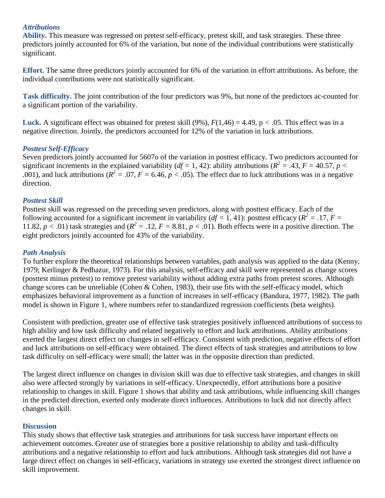### *Attributions*

**Ability.** This measure was regressed on pretest self-efficacy, pretest skill, and task strategies. These three predictors jointly accounted for 6% of the variation, but none of the individual contributions were statistically significant.

**Effort.** The same three predictors jointly accounted for 6% of the variation in effort attributions. As before, the individual contributions were not statistically significant.

**Task difficulty.** The joint contribution of the four predictors was 9%, but none of the predictors ac-counted for a significant portion of the variability.

**Luck.** A significant effect was obtained for pretest skill  $(9\%)$ ,  $F(1,46) = 4.49$ ,  $p < .05$ . This effect was in a negative direction. Jointly, the predictors accounted for 12% of the variation in luck attributions.

### *Posttest Self-Efficacy*

Seven predictors jointly accounted for 5607o of the variation in posttest efficacy. Two predictors accounted for significant increments in the explained variability ( $df = 1$ , 42): ability attributions ( $R^2 = .43$ ,  $F = 40.57$ ,  $p <$ .001), and luck attributions ( $R^2 = .07$ ,  $F = 6.46$ ,  $p < .05$ ). The effect due to luck attributions was in a negative direction.

### *Posttest Skill*

Posttest skill was regressed on the preceding seven predictors, along with posttest efficacy. Each of the following accounted for a significant increment in variability ( $df = 1$ , 41): posttest efficacy ( $R^2 = .17$ ,  $F =$ 11.82,  $p < .01$ ) task strategies and ( $R^2 = .12$ ,  $F = 8.81$ ,  $p < .01$ ). Both effects were in a positive direction. The eight predictors jointly accounted for 43% of the variability.

### *Path Analysis*

To further explore the theoretical relationships between variables, path analysis was applied to the data (Kenny, 1979; Kerlinger & Pedhazur, 1973). For this analysis, self-efficacy and skill were represented as change scores (posttest minus pretest) to remove pretest variability without adding extra paths from pretest scores. Although change scores can be unreliable (Cohen & Cohen, 1983), their use fits with the self-efficacy model, which emphasizes behavioral improvement as a function of increases in self-efficacy (Bandura, 1977, 1982). The path model is shown in Figure 1, where numbers refer to standardized regression coefficients (beta weights).

Consistent with prediction, greater use of effective task strategies positively influenced attributions of success to high ability and low task difficulty and related negatively to effort and luck attributions. Ability attributions exerted the largest direct effect on changes in self-efficacy. Consistent with prediction, negative effects of effort and luck attributions on self-efficacy were obtained. The direct effects of task strategies and attributions to low task difficulty on self-efficacy were small; the latter was in the opposite direction than predicted.

The largest direct influence on changes in division skill was due to effective task strategies, and changes in skill also were affected strongly by variations in self-efficacy. Unexpectedly, effort attributions bore a positive relationship to changes in skill. Figure 1 shows that ability and task attributions, while influencing skill changes in the predicted direction, exerted only moderate direct influences. Attributions to luck did not directly affect changes in skill.

### **Discussion**

This study shows that effective task strategies and attributions for task success have important effects on achievement outcomes. Greater use of strategies bore a positive relationship to ability and task-difficulty attributions and a negative relationship to effort and luck attributions. Although task strategies did not have a large direct effect on changes in self-efficacy, variations in strategy use exerted the strongest direct influence on skill improvement.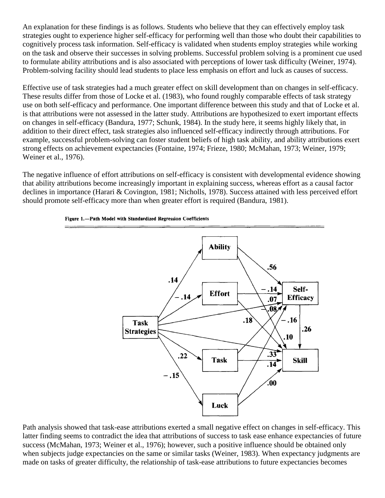An explanation for these findings is as follows. Students who believe that they can effectively employ task strategies ought to experience higher self-efficacy for performing well than those who doubt their capabilities to cognitively process task information. Self-efficacy is validated when students employ strategies while working on the task and observe their successes in solving problems. Successful problem solving is a prominent cue used to formulate ability attributions and is also associated with perceptions of lower task difficulty (Weiner, 1974). Problem-solving facility should lead students to place less emphasis on effort and luck as causes of success.

Effective use of task strategies had a much greater effect on skill development than on changes in self-efficacy. These results differ from those of Locke et al. (1983), who found roughly comparable effects of task strategy use on both self-efficacy and performance. One important difference between this study and that of Locke et al. is that attributions were not assessed in the latter study. Attributions are hypothesized to exert important effects on changes in self-efficacy (Bandura, 1977; Schunk, 1984). In the study here, it seems highly likely that, in addition to their direct effect, task strategies also influenced self-efficacy indirectly through attributions. For example, successful problem-solving can foster student beliefs of high task ability, and ability attributions exert strong effects on achievement expectancies (Fontaine, 1974; Frieze, 1980; McMahan, 1973; Weiner, 1979; Weiner et al., 1976).

The negative influence of effort attributions on self-efficacy is consistent with developmental evidence showing that ability attributions become increasingly important in explaining success, whereas effort as a causal factor declines in importance (Harari & Covington, 1981; Nicholls, 1978). Success attained with less perceived effort should promote self-efficacy more than when greater effort is required (Bandura, 1981).



#### Figure 1.-Path Model with Standardized Regression Coefficients

Path analysis showed that task-ease attributions exerted a small negative effect on changes in self-efficacy. This latter finding seems to contradict the idea that attributions of success to task ease enhance expectancies of future success (McMahan, 1973; Weiner et al., 1976); however, such a positive influence should be obtained only when subjects judge expectancies on the same or similar tasks (Weiner, 1983). When expectancy judgments are made on tasks of greater difficulty, the relationship of task-ease attributions to future expectancies becomes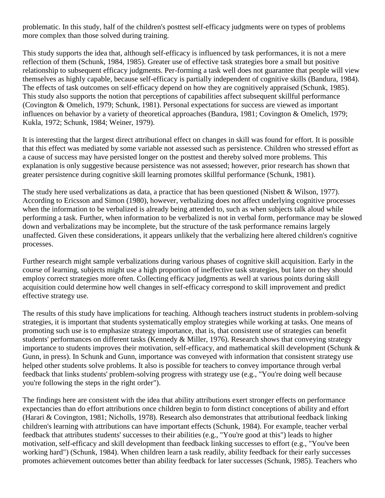problematic. In this study, half of the children's posttest self-efficacy judgments were on types of problems more complex than those solved during training.

This study supports the idea that, although self-efficacy is influenced by task performances, it is not a mere reflection of them (Schunk, 1984, 1985). Greater use of effective task strategies bore a small but positive relationship to subsequent efficacy judgments. Per-forming a task well does not guarantee that people will view themselves as highly capable, because self-efficacy is partially independent of cognitive skills (Bandura, 1984). The effects of task outcomes on self-efficacy depend on how they are cognitively appraised (Schunk, 1985). This study also supports the notion that perceptions of capabilities affect subsequent skillful performance (Covington & Omelich, 1979; Schunk, 1981). Personal expectations for success are viewed as important influences on behavior by a variety of theoretical approaches (Bandura, 1981; Covington & Omelich, 1979; Kukla, 1972; Schunk, 1984; Weiner, 1979).

It is interesting that the largest direct attributional effect on changes in skill was found for effort. It is possible that this effect was mediated by some variable not assessed such as persistence. Children who stressed effort as a cause of success may have persisted longer on the posttest and thereby solved more problems. This explanation is only suggestive because persistence was not assessed; however, prior research has shown that greater persistence during cognitive skill learning promotes skillful performance (Schunk, 1981).

The study here used verbalizations as data, a practice that has been questioned (Nisbett & Wilson, 1977). According to Ericsson and Simon (1980), however, verbalizing does not affect underlying cognitive processes when the information to be verbalized is already being attended to, such as when subjects talk aloud while performing a task. Further, when information to be verbalized is not in verbal form, performance may be slowed down and verbalizations may be incomplete, but the structure of the task performance remains largely unaffected. Given these considerations, it appears unlikely that the verbalizing here altered children's cognitive processes.

Further research might sample verbalizations during various phases of cognitive skill acquisition. Early in the course of learning, subjects might use a high proportion of ineffective task strategies, but later on they should employ correct strategies more often. Collecting efficacy judgments as well at various points during skill acquisition could determine how well changes in self-efficacy correspond to skill improvement and predict effective strategy use.

The results of this study have implications for teaching. Although teachers instruct students in problem-solving strategies, it is important that students systematically employ strategies while working at tasks. One means of promoting such use is to emphasize strategy importance, that is, that consistent use of strategies can benefit students' performances on different tasks (Kennedy & Miller, 1976). Research shows that conveying strategy importance to students improves their motivation, self-efficacy, and mathematical skill development (Schunk & Gunn, in press). In Schunk and Gunn, importance was conveyed with information that consistent strategy use helped other students solve problems. It also is possible for teachers to convey importance through verbal feedback that links students' problem-solving progress with strategy use (e.g., "You're doing well because you're following the steps in the right order").

The findings here are consistent with the idea that ability attributions exert stronger effects on performance expectancies than do effort attributions once children begin to form distinct conceptions of ability and effort (Harari & Covington, 1981; Nicholls, 1978). Research also demonstrates that attributional feedback linking children's learning with attributions can have important effects (Schunk, 1984). For example, teacher verbal feedback that attributes students' successes to their abilities (e.g., "You're good at this") leads to higher motivation, self-efficacy and skill development than feedback linking successes to effort (e.g., "You've been working hard") (Schunk, 1984). When children learn a task readily, ability feedback for their early successes promotes achievement outcomes better than ability feedback for later successes (Schunk, 1985). Teachers who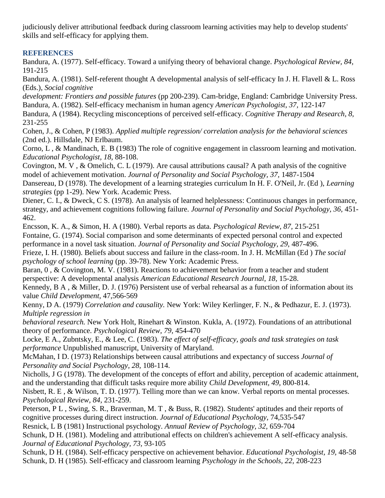judiciously deliver attributional feedback during classroom learning activities may help to develop students' skills and self-efficacy for applying them.

# **REFERENCES**

Bandura, A. (1977). Self-efficacy. Toward a unifying theory of behavioral change. *Psychological Review, 84,*  191-215

Bandura, A. (1981). Self-referent thought A developmental analysis of self-efficacy In J. H. Flavell & L. Ross (Eds.), *Social cognitive*

*development: Frontiers and possible futures* (pp 200-239). Cam-bridge, England: Cambridge University Press. Bandura, A. (1982). Self-efficacy mechanism in human agency *American Psychologist, 37,* 122-147

Bandura, A (1984). Recycling misconceptions of perceived self-efficacy. *Cognitive Therapy and Research, 8,*  231-255

Cohen, J., & Cohen, P (1983). *Applied multiple regression/ correlation analysis for the behavioral sciences*  (2nd ed.). Hillsdale, NJ Erlbaum.

Corno, L , & Mandinach, E. B (1983) The role of cognitive engagement in classroom learning and motivation. *Educational Psychologist, 18,* 88-108.

Covington, M. V , & Omelich, C. L (1979). Are causal attributions causal? A path analysis of the cognitive model of achievement motivation. *Journal of Personality and Social Psychology, 37,* 1487-1504

Dansereau, D (1978). The development of a learning strategies curriculum In H. F. O'Neil, Jr. (Ed ), *Learning strategies* (pp 1-29). New York. Academic Press.

Diener, C. I., & Dweck, C S. (1978). An analysis of learned helplessness: Continuous changes in performance, strategy, and achievement cognitions following failure. *Journal of Personality and Social Psychology, 36,* 451- 462.

Encsson, K. A., & Simon, H. A (1980). Verbal reports as data. *Psychological Review, 87,* 215-251 Fontaine, G. (1974). Social comparison and some determinants of expected personal control and expected performance in a novel task situation. *Journal of Personality and Social Psychology, 29,* 487-496.

Frieze, I. H. (1980). Beliefs about success and failure in the class-room. In J. H. McMillan (Ed ) *The social psychology of school learning* (pp. 39-78). New York: Academic Press.

Baran, 0, & Covington, M. V. (1981). Reactions to achievement behavior from a teacher and student perspective: A developmental analysis *American Educational Research Journal, 18,* 15-28.

Kennedy, B A , & Miller, D. J. (1976) Persistent use of verbal rehearsal as a function of information about its value *Child Development,* 47,566-569

Kenny, D A. (1979) *Correlation and causality.* New York: Wiley Kerlinger, F. N., & Pedhazur, E. J. (1973). *Multiple regression in*

*behavioral research.* New York Holt, Rinehart & Winston. Kukla, A. (1972). Foundations of an attributional theory of performance. *Psychological Review, 79,* 454-470

Locke, E A., Zubntsky, E., & Lee, C. (1983). *The effect of self-efficacy, goals and task strategies on task performance* Unpublished manuscript, University of Maryland.

McMahan, I D. (1973) Relationships between causal attributions and expectancy of success *Journal of Personality and Social Psychology, 28,* 108-114.

Nicholls, J G (1978). The development of the concepts of effort and ability, perception of academic attainment, and the understanding that difficult tasks require more ability *Child Development, 49,* 800-814.

Nisbett, R. E , & Wilson, T. D. (1977). Telling more than we can know. Verbal reports on mental processes. *Psychological Review, 84,* 231-259.

Peterson, P L , Swing, S. R., Braverman, M. T , & Buss, R. (1982). Students' aptitudes and their reports of cognitive processes during direct instruction. *Journal of Educational Psychology,* 74,535-547

Resnick, L B (1981) Instructional psychology. *Annual Review of Psychology, 32,* 659-704

Schunk, D H. (1981). Modeling and attributional effects on children's achievement A self-efficacy analysis. *Journal of Educational Psychology, 73,* 93-105

Schunk, D H. (1984). Self-efficacy perspective on achievement behavior. *Educational Psychologist, 19,* 48-58 Schunk, D. H (1985). Self-efficacy and classroom learning *Psychology in the Schools, 22,* 208-223